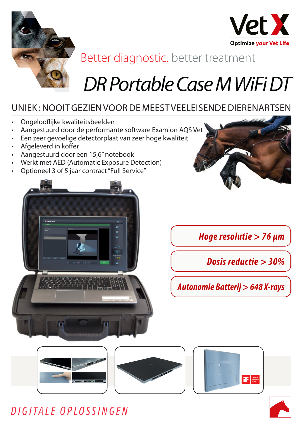



## Better diagnostic, better treatment

# *DR Portable Case M WiFi DT*

### UNIEK : NOOIT GEZIEN VOOR DE MEEST VEELEISENDE DIERENARTSEN

- Ongelooflijke kwaliteitsbeelden
- Aangestuurd door de performante software Examion AQS Vet
- Een zeer gevoelige detectorplaat van zeer hoge kwaliteit
- Afgeleverd in koffer
- Aangestuurd door een 15,6" notebook
- Werkt met AED (Automatic Exposure Detection)
- Optioneel 3 of 5 jaar contract "Full Service"



*Hoge resolutie > 76 μm*

*Dosis reductie > 30%*

*Autonomie Batterij > 648 X-rays*









### *DIGITALE OPLOSSINGEN*